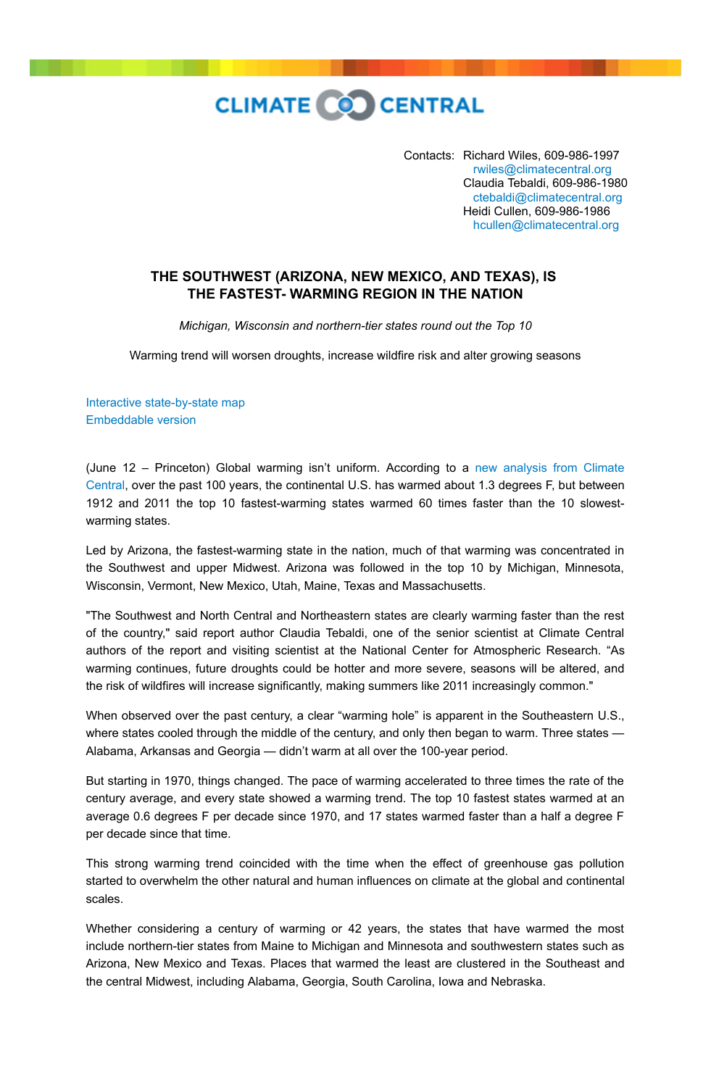**CLIMATE CO CENTRAL** 

Contacts: Richard Wiles, 609-986-1997  [rwiles@climatecentral.org](mailto:rwiles@climatecentral.org) Claudia Tebaldi, 609-986-1980  [ctebaldi@climatecentral.org](mailto:ctabaldi@climatecentral.org) Heidi Cullen, 609-986-1986  [hcullen@climatecentral.org](mailto:hcullen@climatecentral.org)

## **THE SOUTHWEST (ARIZONA, NEW MEXICO, AND TEXAS), IS THE FASTEST- WARMING REGION IN THE NATION**

*Michigan, Wisconsin and northern-tier states round out the Top 10*

Warming trend will worsen droughts, increase wildfire risk and alter growing seasons

[Interactive state-by-state map](http://www.climatecentral.org/news/the-heat-is-on) [Embeddable version](http://www.climatecentral.org/wgts/heat-is-on/index-embed.html?utm_source=natlpressrelease&utm_medium=embed&utm_campaign=heat-is-on)

(June 12 – Princeton) Global warming isn't uniform. According to a new analysis from Climate [Central, over the past 100 years, the continental U.S. has warmed about 1.3 degrees F, but between](http://www.climatecentral.org/news/the-heat-is-on) 1912 and 2011 the top 10 fastest-warming states warmed 60 times faster than the 10 slowestwarming states.

Led by Arizona, the fastest-warming state in the nation, much of that warming was concentrated in the Southwest and upper Midwest. Arizona was followed in the top 10 by Michigan, Minnesota, Wisconsin, Vermont, New Mexico, Utah, Maine, Texas and Massachusetts.

"The Southwest and North Central and Northeastern states are clearly warming faster than the rest of the country," said report author Claudia Tebaldi, one of the senior scientist at Climate Central authors of the report and visiting scientist at the National Center for Atmospheric Research. "As warming continues, future droughts could be hotter and more severe, seasons will be altered, and the risk of wildfires will increase significantly, making summers like 2011 increasingly common."

When observed over the past century, a clear "warming hole" is apparent in the Southeastern U.S., where states cooled through the middle of the century, and only then began to warm. Three states — Alabama, Arkansas and Georgia — didn't warm at all over the 100-year period.

But starting in 1970, things changed. The pace of warming accelerated to three times the rate of the century average, and every state showed a warming trend. The top 10 fastest states warmed at an average 0.6 degrees F per decade since 1970, and 17 states warmed faster than a half a degree F per decade since that time.

This strong warming trend coincided with the time when the effect of greenhouse gas pollution started to overwhelm the other natural and human influences on climate at the global and continental scales.

Whether considering a century of warming or 42 years, the states that have warmed the most include northern-tier states from Maine to Michigan and Minnesota and southwestern states such as Arizona, New Mexico and Texas. Places that warmed the least are clustered in the Southeast and the central Midwest, including Alabama, Georgia, South Carolina, Iowa and Nebraska.